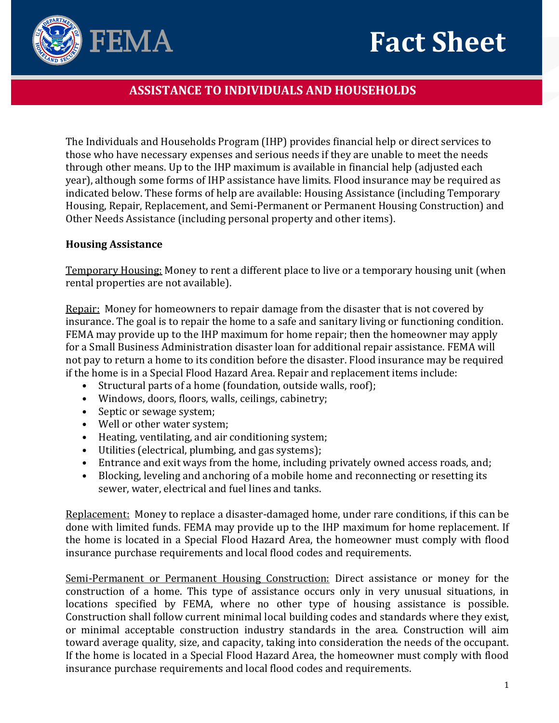# **Fact Sheet**



## **ASSISTANCE TO INDIVIDUALS AND HOUSEHOLDS**

The Individuals and Households Program (IHP) provides financial help or direct services to those who have necessary expenses and serious needs if they are unable to meet the needs through other means. Up to the IHP maximum is available in financial help (adjusted each year), although some forms of IHP assistance have limits. Flood insurance may be required as indicated below. These forms of help are available: Housing Assistance (including Temporary Housing, Repair, Replacement, and Semi‐Permanent or Permanent Housing Construction) and Other Needs Assistance (including personal property and other items).

#### **Housing Assistance**

Temporary Housing: Money to rent a different place to live or a temporary housing unit (when rental properties are not available).

Repair:Money for homeowners to repair damage from the disaster that is not covered by insurance. The goal is to repair the home to a safe and sanitary living or functioning condition. FEMA may provide up to the IHP maximum for home repair; then the homeowner may apply for a Small Business Administration disaster loan for additional repair assistance. FEMA will not pay to return a home to its condition before the disaster. Flood insurance may be required if the home is in a Special Flood Hazard Area. Repair and replacement items include:

- Structural parts of a home (foundation, outside walls, roof);
- Windows, doors, floors, walls, ceilings, cabinetry;
- Septic or sewage system;
- Well or other water system;
- Heating, ventilating, and air conditioning system;
- Utilities (electrical, plumbing, and gas systems);
- Entrance and exit ways from the home, including privately owned access roads, and;
- Blocking, leveling and anchoring of a mobile home and reconnecting or resetting its sewer, water, electrical and fuel lines and tanks.

Replacement:Money to replace a disaster‐damaged home, under rare conditions, if this can be done with limited funds. FEMA may provide up to the IHP maximum for home replacement. If the home is located in a Special Flood Hazard Area, the homeowner must comply with flood insurance purchase requirements and local flood codes and requirements.

Semi‐Permanent or Permanent Housing Construction: Direct assistance or money for the construction of a home. This type of assistance occurs only in very unusual situations, in locations specified by FEMA, where no other type of housing assistance is possible. Construction shall follow current minimal local building codes and standards where they exist, or minimal acceptable construction industry standards in the area. Construction will aim toward average quality, size, and capacity, taking into consideration the needs of the occupant. If the home is located in a Special Flood Hazard Area, the homeowner must comply with flood insurance purchase requirements and local flood codes and requirements.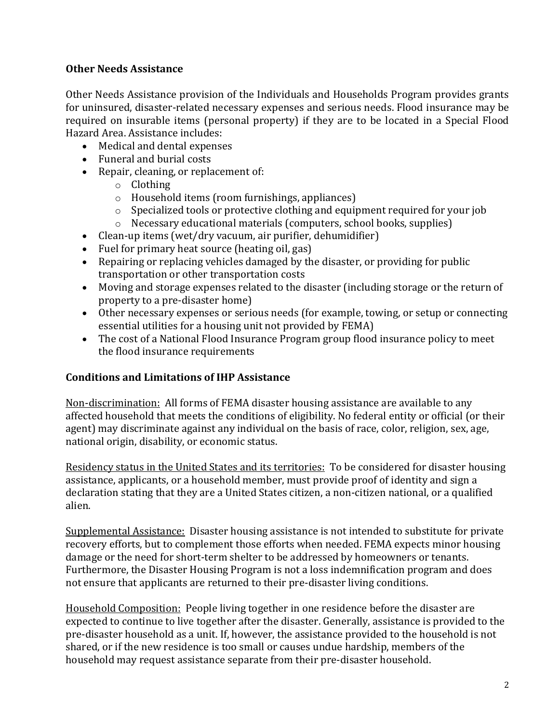### **Other Needs Assistance**

Other Needs Assistance provision of the Individuals and Households Program provides grants for uninsured, disaster‐related necessary expenses and serious needs. Flood insurance may be required on insurable items (personal property) if they are to be located in a Special Flood Hazard Area. Assistance includes:

- Medical and dental expenses
- Funeral and burial costs
- Repair, cleaning, or replacement of:
	- o Clothing
	- o Household items (room furnishings, appliances)
	- o Specialized tools or protective clothing and equipment required for your job
	- o Necessary educational materials (computers, school books, supplies)
- Clean-up items (wet/dry vacuum, air purifier, dehumidifier)
- Fuel for primary heat source (heating oil, gas)
- Repairing or replacing vehicles damaged by the disaster, or providing for public transportation or other transportation costs
- Moving and storage expenses related to the disaster (including storage or the return of property to a pre‐disaster home)
- Other necessary expenses or serious needs (for example, towing, or setup or connecting essential utilities for a housing unit not provided by FEMA)
- The cost of a National Flood Insurance Program group flood insurance policy to meet the flood insurance requirements

#### **Conditions and Limitations of IHP Assistance**

Non‐discrimination:All forms of FEMA disaster housing assistance are available to any affected household that meets the conditions of eligibility. No federal entity or official (or their agent) may discriminate against any individual on the basis of race, color, religion, sex, age, national origin, disability, or economic status.

Residency status in the United States and its territories:To be considered for disaster housing assistance, applicants, or a household member, must provide proof of identity and sign a declaration stating that they are a United States citizen, a non‐citizen national, or a qualified alien.

Supplemental Assistance:Disaster housing assistance is not intended to substitute for private recovery efforts, but to complement those efforts when needed. FEMA expects minor housing damage or the need for short-term shelter to be addressed by homeowners or tenants. Furthermore, the Disaster Housing Program is not a loss indemnification program and does not ensure that applicants are returned to their pre‐disaster living conditions.

Household Composition: People living together in one residence before the disaster are expected to continue to live together after the disaster. Generally, assistance is provided to the pre‐disaster household as a unit. If, however, the assistance provided to the household is not shared, or if the new residence is too small or causes undue hardship, members of the household may request assistance separate from their pre‐disaster household.